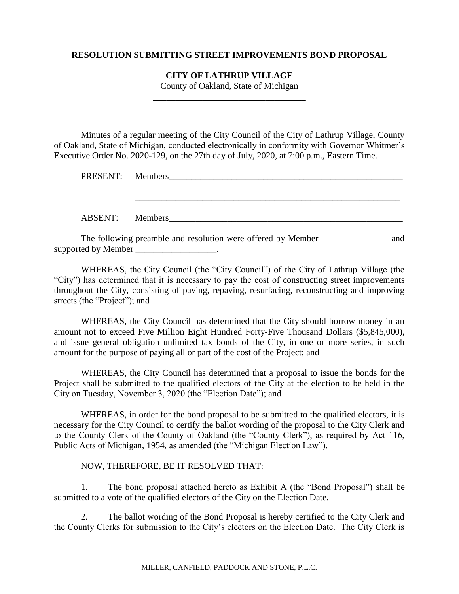### **RESOLUTION SUBMITTING STREET IMPROVEMENTS BOND PROPOSAL**

#### **CITY OF LATHRUP VILLAGE**

County of Oakland, State of Michigan **\_\_\_\_\_\_\_\_\_\_\_\_\_\_\_\_\_\_\_\_\_\_\_\_\_\_\_\_\_\_\_\_\_\_**

Minutes of a regular meeting of the City Council of the City of Lathrup Village, County of Oakland, State of Michigan, conducted electronically in conformity with Governor Whitmer's Executive Order No. 2020-129, on the 27th day of July, 2020, at 7:00 p.m., Eastern Time.

| PRESENT: Members                                                                                                                                                                                                               |  |
|--------------------------------------------------------------------------------------------------------------------------------------------------------------------------------------------------------------------------------|--|
| ABSENT: Members                                                                                                                                                                                                                |  |
| THE CITY STATE IS A REPORT OF THE VEHICLE IN THE RESIDENCE OF THE VEHICLE IS A REPORT OF THE RESIDENCE OF THE STATE OF THE RESIDENCE OF THE RESIDENCE OF THE RESIDENCE OF THE RESIDENCE OF THE RESIDENCE OF THE RESIDENCE OF T |  |

The following preamble and resolution were offered by Member \_\_\_\_\_\_\_\_\_\_\_\_\_\_\_\_ and supported by Member \_\_\_\_\_\_\_\_\_\_\_\_\_\_\_\_.

WHEREAS, the City Council (the "City Council") of the City of Lathrup Village (the "City") has determined that it is necessary to pay the cost of constructing street improvements throughout the City, consisting of paving, repaving, resurfacing, reconstructing and improving streets (the "Project"); and

WHEREAS, the City Council has determined that the City should borrow money in an amount not to exceed Five Million Eight Hundred Forty-Five Thousand Dollars (\$5,845,000), and issue general obligation unlimited tax bonds of the City, in one or more series, in such amount for the purpose of paying all or part of the cost of the Project; and

WHEREAS, the City Council has determined that a proposal to issue the bonds for the Project shall be submitted to the qualified electors of the City at the election to be held in the City on Tuesday, November 3, 2020 (the "Election Date"); and

WHEREAS, in order for the bond proposal to be submitted to the qualified electors, it is necessary for the City Council to certify the ballot wording of the proposal to the City Clerk and to the County Clerk of the County of Oakland (the "County Clerk"), as required by Act 116, Public Acts of Michigan, 1954, as amended (the "Michigan Election Law").

## NOW, THEREFORE, BE IT RESOLVED THAT:

1. The bond proposal attached hereto as Exhibit A (the "Bond Proposal") shall be submitted to a vote of the qualified electors of the City on the Election Date.

2. The ballot wording of the Bond Proposal is hereby certified to the City Clerk and the County Clerks for submission to the City's electors on the Election Date. The City Clerk is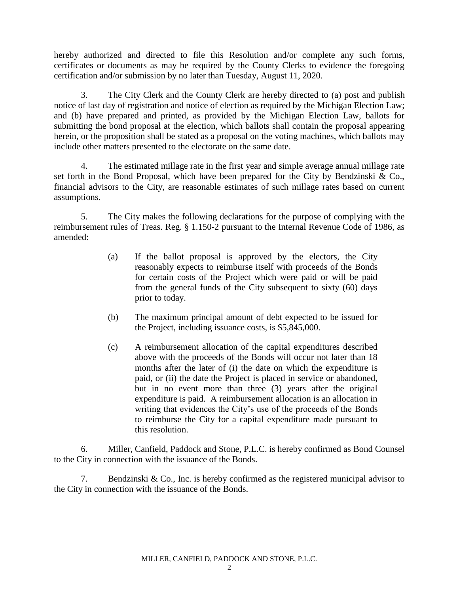hereby authorized and directed to file this Resolution and/or complete any such forms, certificates or documents as may be required by the County Clerks to evidence the foregoing certification and/or submission by no later than Tuesday, August 11, 2020.

3. The City Clerk and the County Clerk are hereby directed to (a) post and publish notice of last day of registration and notice of election as required by the Michigan Election Law; and (b) have prepared and printed, as provided by the Michigan Election Law, ballots for submitting the bond proposal at the election, which ballots shall contain the proposal appearing herein, or the proposition shall be stated as a proposal on the voting machines, which ballots may include other matters presented to the electorate on the same date.

4. The estimated millage rate in the first year and simple average annual millage rate set forth in the Bond Proposal, which have been prepared for the City by Bendzinski & Co., financial advisors to the City, are reasonable estimates of such millage rates based on current assumptions.

5. The City makes the following declarations for the purpose of complying with the reimbursement rules of Treas. Reg. § 1.150-2 pursuant to the Internal Revenue Code of 1986, as amended:

- (a) If the ballot proposal is approved by the electors, the City reasonably expects to reimburse itself with proceeds of the Bonds for certain costs of the Project which were paid or will be paid from the general funds of the City subsequent to sixty (60) days prior to today.
- (b) The maximum principal amount of debt expected to be issued for the Project, including issuance costs, is \$5,845,000.
- (c) A reimbursement allocation of the capital expenditures described above with the proceeds of the Bonds will occur not later than 18 months after the later of (i) the date on which the expenditure is paid, or (ii) the date the Project is placed in service or abandoned, but in no event more than three (3) years after the original expenditure is paid. A reimbursement allocation is an allocation in writing that evidences the City's use of the proceeds of the Bonds to reimburse the City for a capital expenditure made pursuant to this resolution.

6. Miller, Canfield, Paddock and Stone, P.L.C. is hereby confirmed as Bond Counsel to the City in connection with the issuance of the Bonds.

7. Bendzinski & Co., Inc. is hereby confirmed as the registered municipal advisor to the City in connection with the issuance of the Bonds.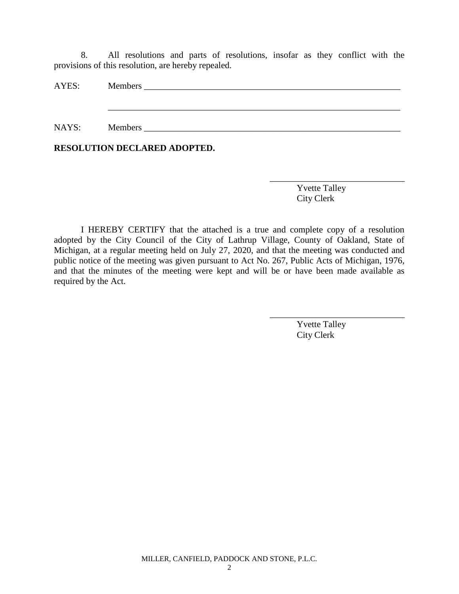8. All resolutions and parts of resolutions, insofar as they conflict with the provisions of this resolution, are hereby repealed.

| AYES: |                |
|-------|----------------|
|       |                |
|       |                |
| NAYS: | <b>Members</b> |

**RESOLUTION DECLARED ADOPTED.**

Yvette Talley City Clerk

\_\_\_\_\_\_\_\_\_\_\_\_\_\_\_\_\_\_\_\_\_\_\_\_\_\_\_\_\_\_

I HEREBY CERTIFY that the attached is a true and complete copy of a resolution adopted by the City Council of the City of Lathrup Village, County of Oakland, State of Michigan, at a regular meeting held on July 27, 2020, and that the meeting was conducted and public notice of the meeting was given pursuant to Act No. 267, Public Acts of Michigan, 1976, and that the minutes of the meeting were kept and will be or have been made available as required by the Act.

> Yvette Talley City Clerk

\_\_\_\_\_\_\_\_\_\_\_\_\_\_\_\_\_\_\_\_\_\_\_\_\_\_\_\_\_\_